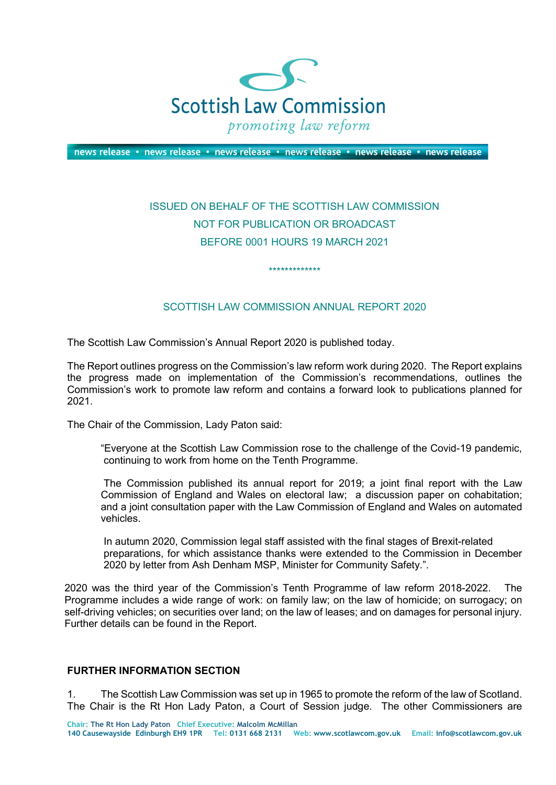

news release • news release • news release • news release • news release • news release

## ISSUED ON BEHALF OF THE SCOTTISH LAW COMMISSION NOT FOR PUBLICATION OR BROADCAST BEFORE 0001 HOURS 19 MARCH 2021

## SCOTTISH LAW COMMISSION ANNUAL REPORT 2020

\*\*\*\*\*\*\*\*\*\*\*\*\*

The Scottish Law Commission's Annual Report 2020 is published today.

The Report outlines progress on the Commission's law reform work during 2020. The Report explains the progress made on implementation of the Commission's recommendations, outlines the Commission's work to promote law reform and contains a forward look to publications planned for 2021.

The Chair of the Commission, Lady Paton said:

"Everyone at the Scottish Law Commission rose to the challenge of the Covid-19 pandemic, continuing to work from home on the Tenth Programme.

 The Commission published its annual report for 2019; a joint final report with the Law Commission of England and Wales on electoral law; a discussion paper on cohabitation; and a joint consultation paper with the Law Commission of England and Wales on automated vehicles.

In autumn 2020, Commission legal staff assisted with the final stages of Brexit-related preparations, for which assistance thanks were extended to the Commission in December 2020 by letter from Ash Denham MSP, Minister for Community Safety.".

2020 was the third year of the Commission's Tenth Programme of law reform 2018-2022. The Programme includes a wide range of work: on family law; on the law of homicide; on surrogacy; on self-driving vehicles; on securities over land; on the law of leases; and on damages for personal injury. Further details can be found in the Report.

## **FURTHER INFORMATION SECTION**

1. The Scottish Law Commission was set up in 1965 to promote the reform of the law of Scotland. The Chair is the Rt Hon Lady Paton, a Court of Session judge. The other Commissioners are